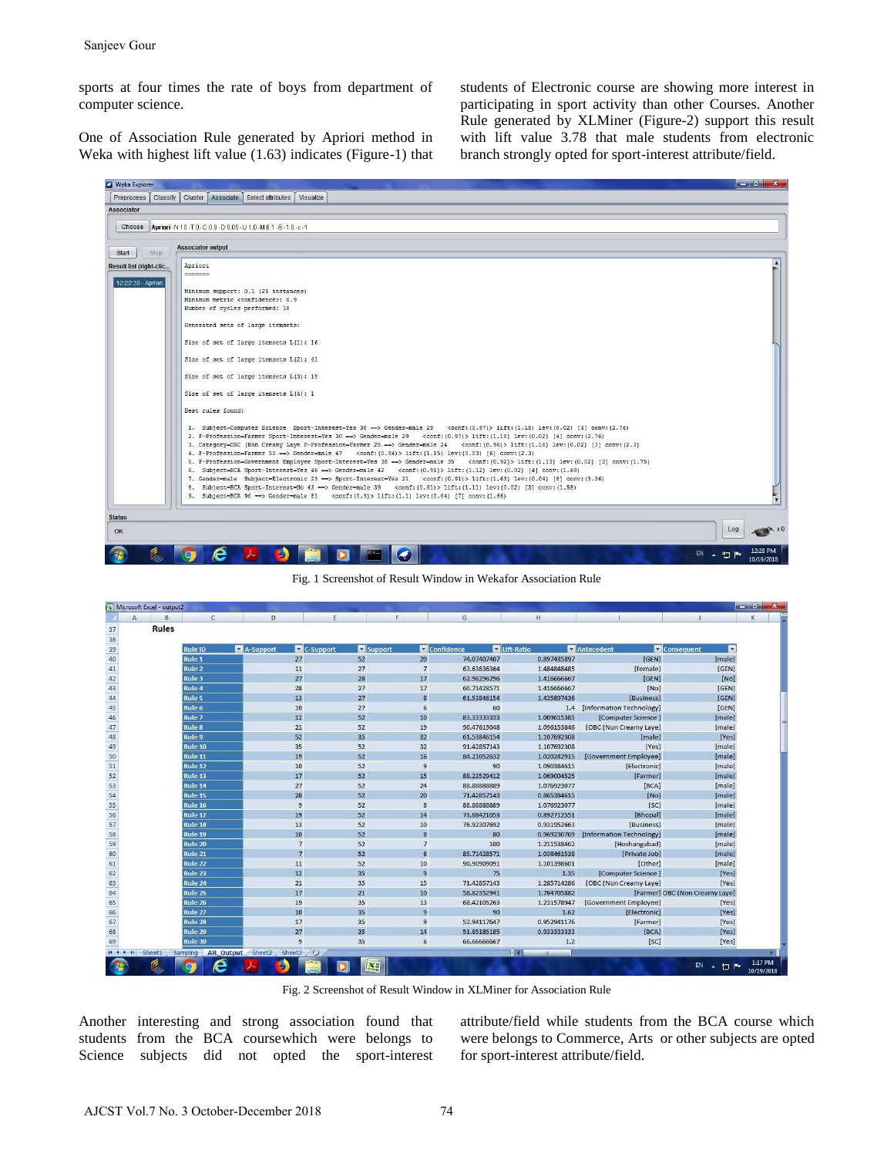sports at four times the rate of boys from department of computer science.

One of Association Rule generated by Apriori method in Weka with highest lift value (1.63) indicates (Figure-1) that students of Electronic course are showing more interest in participating in sport activity than other Courses. Another Rule generated by XLMiner (Figure-2) support this result with lift value 3.78 that male students from electronic branch strongly opted for sport-interest attribute/field.



Fig. 1 Screenshot of Result Window in Wekafor Association Rule

|    | $\sqrt{\mathbf{x}}$ Microsoft Excel - output2 |              |                   |   |                                  |               |                  |             |                |                              |                                | $\mathbf{x}$          |  |
|----|-----------------------------------------------|--------------|-------------------|---|----------------------------------|---------------|------------------|-------------|----------------|------------------------------|--------------------------------|-----------------------|--|
|    | $\mathsf{A}$                                  | B            | $\mathsf{C}$      |   | D                                | E             | F.               | G           | H              |                              |                                | К                     |  |
| 37 |                                               | <b>Rules</b> |                   |   |                                  |               |                  |             |                |                              |                                |                       |  |
| 38 |                                               |              |                   |   |                                  |               |                  |             |                |                              |                                |                       |  |
| 39 |                                               |              | <b>Rule ID</b>    |   | A-Support                        | C-Support     | Support          | Confidence  | Lift-Ratio     | Antecedent                   | <b>Consequent</b><br><b>v</b>  |                       |  |
| 40 |                                               |              | Rule 1            |   | 27                               | 52            | 20               | 74.07407407 | 0.897435897    | [GEN]                        | [male]                         |                       |  |
| 41 |                                               |              | <b>Rule 2</b>     |   | 11                               | 27            | $\overline{7}$   | 63.63636364 | 1.484848485    | [female]                     | [GEN]                          |                       |  |
| 42 |                                               |              | Rule 3            |   | 27                               | 28            | 17               | 62.96296296 | 1.416666667    | [GEN]                        | [NO]                           |                       |  |
| 43 |                                               |              | <b>Rule 4</b>     |   | 28                               | 27            | 17               | 60.71428571 | 1.416666667    | [NO]                         | [GEN]                          |                       |  |
| 44 |                                               |              | <b>Rule 5</b>     |   | 13                               | 27            | 8                | 61.53846154 | 1.435897436    | [Business]                   | [GEN]                          |                       |  |
| 45 |                                               |              | Rule 6            |   | 10                               | 27            | 6                | 60          |                | 1.4 [Information Technology] | [GEN]                          |                       |  |
| 46 |                                               |              | Rule <sub>7</sub> |   | 12                               | 52            | 10               | 83.33333333 | 1.009615385    | [Computer Science]           | [male]                         |                       |  |
| 47 |                                               |              | <b>Rule 8</b>     |   | 21                               | 52            | 19               | 90.47619048 | 1.096153846    | [OBC (Non Creamy Laye]       | [male]                         |                       |  |
| 48 |                                               |              | Rule 9            |   | 52                               | 35            | 32               | 61.53846154 | 1.107692308    | [male]                       | [Yes]                          |                       |  |
| 49 |                                               |              | Rule 10           |   | 35                               | 52            | 32               | 91.42857143 | 1.107692308    | [Yes]                        | [male]                         |                       |  |
| 50 |                                               |              | Rule 11           |   | 19                               | 52            | 16               | 84.21052632 | 1.020242915    | [Government Employee]        | [male]                         |                       |  |
| 51 |                                               |              | Rule 12           |   | 10                               | 52            | $\overline{9}$   | 90          | 1.090384615    | [Electronic]                 | [male]                         |                       |  |
| 52 |                                               |              | Rule 13           |   | 17                               | 52            | 15               | 88.23529412 | 1.069004525    | [Farmer]                     | [male]                         |                       |  |
| 53 |                                               |              | Rule 14           |   | 27                               | 52            | 24               | 88.88888889 | 1.076923077    | [BCA]                        | [male]                         |                       |  |
| 54 |                                               |              | Rule 15           |   | 28                               | 52            | 20               | 71.42857143 | 0.865384615    | [NO]                         | [male]                         |                       |  |
| 55 |                                               |              | Rule 16           |   | 9                                | 52            | $\mathbf{8}$     | 88.88888889 | 1.076923077    | [SC]                         | [male]                         |                       |  |
| 56 |                                               |              | Rule 17           |   | 19                               | 52            | 14               | 73.68421053 | 0.892712551    | [Bhopal]                     | [male]                         |                       |  |
| 57 |                                               |              | Rule 18           |   | 13                               | 52            | 10               | 76.92307692 | 0.931952663    | [Business]                   | [male]                         |                       |  |
| 58 |                                               |              | Rule 19           |   | 10                               | 52            | 8                | 80          | 0.969230769    | [Information Technology]     | [male]                         |                       |  |
| 59 |                                               |              | Rule 20           |   | $\overline{7}$                   | 52            | $\overline{7}$   | 100         | 1.211538462    | [Hoshangabad]                | [male]                         |                       |  |
| 60 |                                               |              | Rule 21           |   | $\overline{7}$                   | 52            | $6 \overline{6}$ | 85.71428571 | 1.038461538    | [Private Job]                | [male]                         |                       |  |
| 61 |                                               |              | Rule 22           |   | 11                               | 52            | 10               | 90.90909091 | 1.101398601    | [Other]                      | [male]                         |                       |  |
| 62 |                                               |              | Rule 23           |   | 12                               | 35            | $\overline{9}$   | 75          | 1.35           | [Computer Science]           | [Yes]                          |                       |  |
| 63 |                                               |              | Rule 24           |   | 21                               | 35            | 15               | 71.42857143 | 1.285714286    | [OBC (Non Creamy Laye]       | [Yes]                          |                       |  |
| 64 |                                               |              | Rule 25           |   | 17                               | 21            | 10               | 58.82352941 | 1.764705882    |                              | [Farmer] OBC (Non Creamy Laye] |                       |  |
| 65 |                                               |              | Rule 26           |   | 19                               | 35            | 13               | 68.42105263 | 1.231578947    | [Government Employee]        | [Yes]                          |                       |  |
| 66 |                                               |              | Rule 27           |   | 10                               | 35            | $\overline{9}$   | 90          | 1.62           | [Electronic]                 | [Yes]                          |                       |  |
| 67 |                                               |              | Rule 28           |   | 17                               | 35            | 9                | 52.94117647 | 0.952941176    | [Farmer]                     | [Yes]                          |                       |  |
| 68 |                                               |              | Rule 29           |   | 27                               | 35            | 14               | 51.85185185 | 0.933333333    | [BCA]                        | [Yes]                          |                       |  |
| 69 |                                               |              | Rule 30           |   | $\overline{9}$                   | 35            | 6                | 66.66666667 | 1.2            | [SC]                         | [Yes]                          |                       |  |
|    | $H$ 4 $H$<br>Sheet1                           |              |                   |   | Sampling AR_Output Sheet2 Sheet3 | $\mathcal{C}$ |                  |             | 111<br>$-111-$ |                              |                                |                       |  |
|    |                                               |              |                   | e |                                  |               | PП               |             |                |                              | $EN$ $\uparrow$<br>恒           | 1:17 PM<br>10/19/2018 |  |

Fig. 2 Screenshot of Result Window in XLMiner for Association Rule

Another interesting and strong association found that students from the BCA coursewhich were belongs to Science subjects did not opted the sport-interest attribute/field while students from the BCA course which were belongs to Commerce, Arts or other subjects are opted for sport-interest attribute/field.